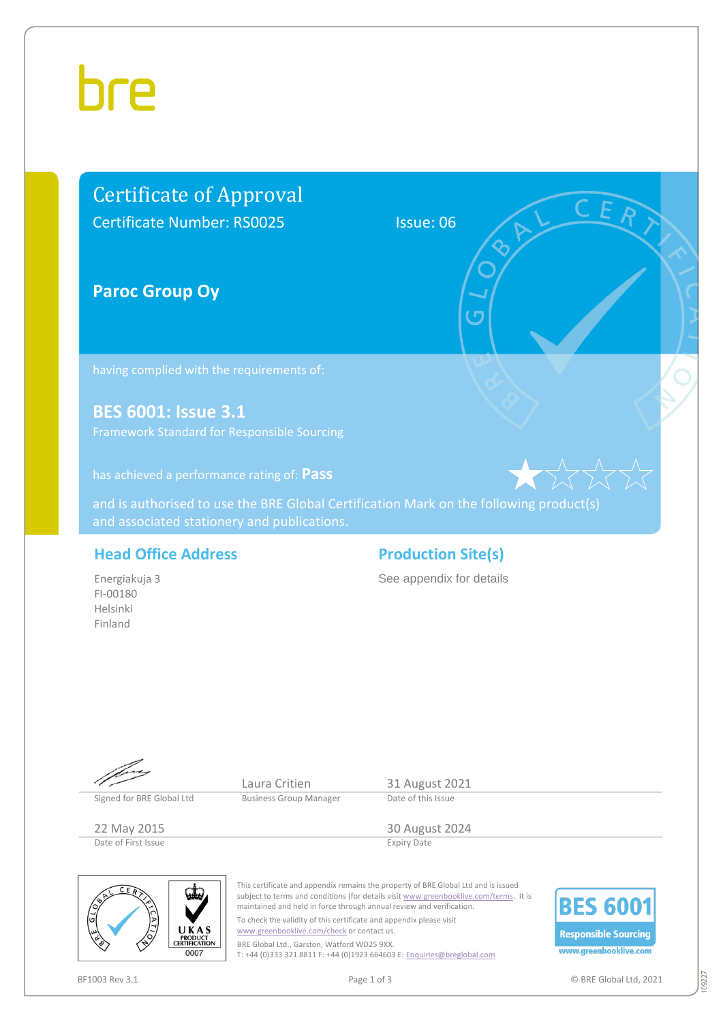## hre

### Certificate of Approval Certificate Number: RS0025 Issue: 06

**Paroc Group Oy**

**BES 6001: Issue 3.1**

has achieved a performance rating of: **Pass**

and is authorised to use the BRE Global Certification Mark on the following product(s)

#### **Head Office Address Production Site(s)**

Energiakuja 3 FI-00180 Helsinki Finland

See appendix for details



09227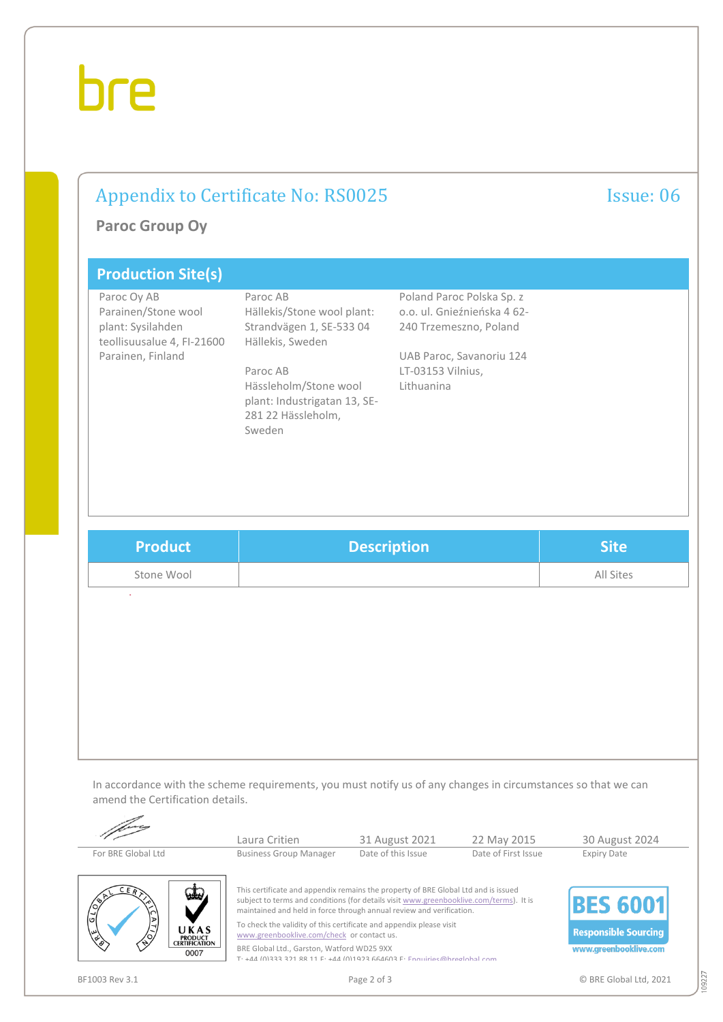# bre

## Appendix to Certificate No: RS0025 Issue: 06

**Paroc Group Oy**

| <b>Production Site(s)</b>                                                                                  |                                                                                                                                                                                             |                                                                                                                                                   |
|------------------------------------------------------------------------------------------------------------|---------------------------------------------------------------------------------------------------------------------------------------------------------------------------------------------|---------------------------------------------------------------------------------------------------------------------------------------------------|
| Paroc Oy AB<br>Parainen/Stone wool<br>plant: Sysilahden<br>teollisuusalue 4, FI-21600<br>Parainen, Finland | Paroc AB<br>Hällekis/Stone wool plant:<br>Strandvägen 1, SE-533 04<br>Hällekis, Sweden<br>Paroc AB<br>Hässleholm/Stone wool<br>plant: Industrigatan 13, SE-<br>281 22 Hässleholm,<br>Sweden | Poland Paroc Polska Sp. z<br>o.o. ul. Gnieźnieńska 4 62-<br>240 Trzemeszno, Poland<br>UAB Paroc, Savanoriu 124<br>LT-03153 Vilnius,<br>Lithuanina |

| <b>Product</b> | <b>Description</b> | <b>Site</b> |
|----------------|--------------------|-------------|
| Stone Wool     |                    | All Sites   |

In accordance with the scheme requirements, you must notify us of any changes in circumstances so that we can amend the Certification details.

|                                                                     | Laura Critien                                                                                                                                                                                                                                        | 31 August 2021     | 22 May 2015         | 30 August 2024              |
|---------------------------------------------------------------------|------------------------------------------------------------------------------------------------------------------------------------------------------------------------------------------------------------------------------------------------------|--------------------|---------------------|-----------------------------|
| For BRE Global Ltd                                                  | <b>Business Group Manager</b>                                                                                                                                                                                                                        | Date of this Issue | Date of First Issue | <b>Expiry Date</b>          |
| منقد<br>$\sqrt{\frac{6}{5}}$                                        | This certificate and appendix remains the property of BRE Global Ltd and is issued<br>subject to terms and conditions (for details visit www.greenbooklive.com/terms). It is<br>maintained and held in force through annual review and verification. |                    |                     | <b>IBES 6001</b>            |
| ⋗<br>$\rightarrow$<br>UKAS<br>س<br><b>PRODUCT<br/>CERTIFICATION</b> | To check the validity of this certificate and appendix please visit<br>www.greenbooklive.com/check or contact us.                                                                                                                                    |                    |                     | <b>Responsible Sourcing</b> |
| 0007                                                                | BRE Global Ltd., Garston, Watford WD25 9XX<br>$T_1 + 1/1$ (0)333 321 88 11 F: $+1/1$ (0)1923 661603 F: Enquiries @hrealobal.com                                                                                                                      |                    |                     | www.greenbooklive.com       |

 $\overline{\phantom{a}}$ 

BF1003 Rev 3.1 COMPUTER STATES ASSESSED. Page 2 of 3 COMPUTER SERIES OF STATES OF STATES OF SERIES OF STATES OF STATES OF STATES OF STATES OF STATES OF STATES OF STATES OF STATES OF STATES OF STATES OF STATES OF STATES OF

109227